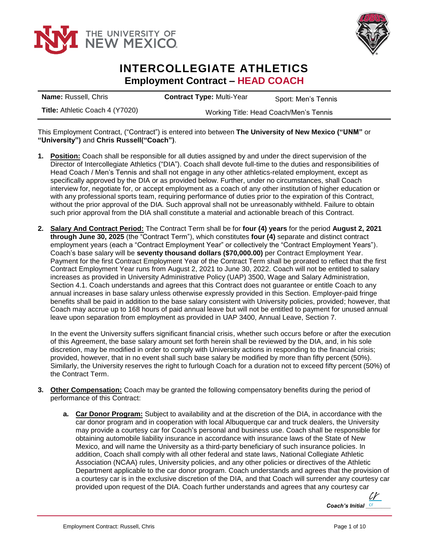



## **INTERCOLLEGIATE ATHLETICS Employment Contract – HEAD COACH**

| <b>Name: Russell, Chris</b>     | <b>Contract Type: Multi-Year</b>       | Sport: Men's Tennis |
|---------------------------------|----------------------------------------|---------------------|
| Title: Athletic Coach 4 (Y7020) | Working Title: Head Coach/Men's Tennis |                     |

This Employment Contract, ("Contract") is entered into between **The University of New Mexico ("UNM"** or **"University")** and **Chris Russell("Coach")**.

- **1. Position:** Coach shall be responsible for all duties assigned by and under the direct supervision of the Director of Intercollegiate Athletics ("DIA"). Coach shall devote full-time to the duties and responsibilities of Head Coach / Men's Tennis and shall not engage in any other athletics-related employment, except as specifically approved by the DIA or as provided below. Further, under no circumstances, shall Coach interview for, negotiate for, or accept employment as a coach of any other institution of higher education or with any professional sports team, requiring performance of duties prior to the expiration of this Contract, without the prior approval of the DIA. Such approval shall not be unreasonably withheld. Failure to obtain such prior approval from the DIA shall constitute a material and actionable breach of this Contract.
- **2. Salary And Contract Period:** The Contract Term shall be for **four (4) years** for the period **August 2, 2021 through June 30, 2025** (the "Contract Term"), which constitutes **four (4)** separate and distinct contract employment years (each a "Contract Employment Year" or collectively the "Contract Employment Years"). Coach's base salary will be **seventy thousand dollars (\$70,000.00)** per Contract Employment Year. Payment for the first Contract Employment Year of the Contract Term shall be prorated to reflect that the first Contract Employment Year runs from August 2, 2021 to June 30, 2022. Coach will not be entitled to salary increases as provided in University Administrative Policy (UAP) 3500, Wage and Salary Administration, Section 4.1. Coach understands and agrees that this Contract does not guarantee or entitle Coach to any annual increases in base salary unless otherwise expressly provided in this Section. Employer-paid fringe benefits shall be paid in addition to the base salary consistent with University policies, provided; however, that Coach may accrue up to 168 hours of paid annual leave but will not be entitled to payment for unused annual leave upon separation from employment as provided in UAP 3400, Annual Leave, Section 7.

In the event the University suffers significant financial crisis, whether such occurs before or after the execution of this Agreement, the base salary amount set forth herein shall be reviewed by the DIA, and, in his sole discretion, may be modified in order to comply with University actions in responding to the financial crisis; provided, however, that in no event shall such base salary be modified by more than fifty percent (50%). Similarly, the University reserves the right to furlough Coach for a duration not to exceed fifty percent (50%) of the Contract Term.

- **3. Other Compensation:** Coach may be granted the following compensatory benefits during the period of performance of this Contract:
	- **a. Car Donor Program:** Subject to availability and at the discretion of the DIA, in accordance with the car donor program and in cooperation with local Albuquerque car and truck dealers, the University may provide a courtesy car for Coach's personal and business use. Coach shall be responsible for obtaining automobile liability insurance in accordance with insurance laws of the State of New Mexico, and will name the University as a third-party beneficiary of such insurance policies. In addition, Coach shall comply with all other federal and state laws, National Collegiate Athletic Association (NCAA) rules, University policies, and any other policies or directives of the Athletic Department applicable to the car donor program. Coach understands and agrees that the provision of a courtesy car is in the exclusive discretion of the DIA, and that Coach will surrender any courtesy car provided upon request of the DIA. Coach further understands and agrees that any courtesy car

*Coach's Initial Cr* cr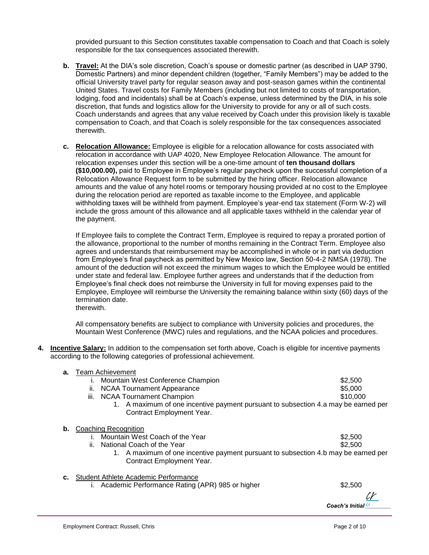provided pursuant to this Section constitutes taxable compensation to Coach and that Coach is solely responsible for the tax consequences associated therewith.

- **b. Travel:** At the DIA's sole discretion, Coach's spouse or domestic partner (as described in UAP 3790, Domestic Partners) and minor dependent children (together, "Family Members") may be added to the official University travel party for regular season away and post-season games within the continental United States. Travel costs for Family Members (including but not limited to costs of transportation, lodging, food and incidentals) shall be at Coach's expense, unless determined by the DIA, in his sole discretion, that funds and logistics allow for the University to provide for any or all of such costs. Coach understands and agrees that any value received by Coach under this provision likely is taxable compensation to Coach, and that Coach is solely responsible for the tax consequences associated therewith.
- **c. Relocation Allowance:** Employee is eligible for a relocation allowance for costs associated with relocation in accordance with UAP 4020, New Employee Relocation Allowance. The amount for relocation expenses under this section will be a one-time amount of **ten thousand dollars (\$10,000.00),** paid to Employee in Employee's regular paycheck upon the successful completion of a Relocation Allowance Request form to be submitted by the hiring officer. Relocation allowance amounts and the value of any hotel rooms or temporary housing provided at no cost to the Employee during the relocation period are reported as taxable income to the Employee, and applicable withholding taxes will be withheld from payment. Employee's year-end tax statement (Form W-2) will include the gross amount of this allowance and all applicable taxes withheld in the calendar year of the payment.

If Employee fails to complete the Contract Term, Employee is required to repay a prorated portion of the allowance, proportional to the number of months remaining in the Contract Term. Employee also agrees and understands that reimbursement may be accomplished in whole or in part via deduction from Employee's final paycheck as permitted by New Mexico law, Section 50-4-2 NMSA (1978). The amount of the deduction will not exceed the minimum wages to which the Employee would be entitled under state and federal law. Employee further agrees and understands that if the deduction from Employee's final check does not reimburse the University in full for moving expenses paid to the Employee, Employee will reimburse the University the remaining balance within sixty (60) days of the termination date. therewith.

All compensatory benefits are subject to compliance with University policies and procedures, the Mountain West Conference (MWC) rules and regulations, and the NCAA policies and procedures.

**4. Incentive Salary:** In addition to the compensation set forth above, Coach is eligible for incentive payments according to the following categories of professional achievement.

| а. | Team Achievement                                                                                                |          |
|----|-----------------------------------------------------------------------------------------------------------------|----------|
|    | Mountain West Conference Champion                                                                               | \$2,500  |
|    | <b>NCAA Tournament Appearance</b><br>ii.                                                                        | \$5,000  |
|    | iii.<br><b>NCAA Tournament Champion</b>                                                                         | \$10,000 |
|    | 1. A maximum of one incentive payment pursuant to subsection 4.a may be earned per<br>Contract Employment Year. |          |
| b. | Coaching Recognition                                                                                            |          |
|    | Mountain West Coach of the Year                                                                                 | \$2,500  |
|    | ii.<br>National Coach of the Year                                                                               | \$2,500  |
|    | A maximum of one incentive payment pursuant to subsection 4.b may be earned per<br>Contract Employment Year.    |          |

- **c.** Student Athlete Academic Performance
	- i. Academic Performance Rating (APR) 985 or higher **\$2,500** \$2,500

Coach's Initial<sup>cr</sup> cr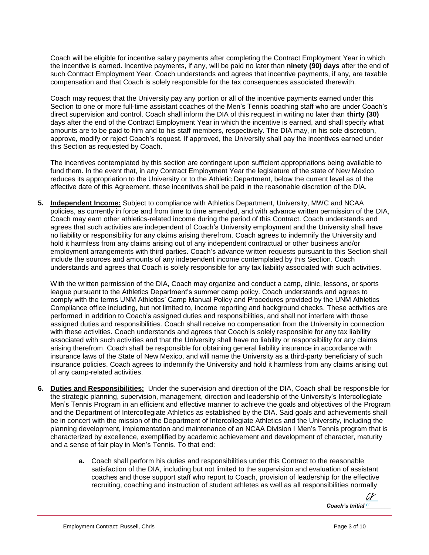Coach will be eligible for incentive salary payments after completing the Contract Employment Year in which the incentive is earned. Incentive payments, if any, will be paid no later than **ninety (90) days** after the end of such Contract Employment Year. Coach understands and agrees that incentive payments, if any, are taxable compensation and that Coach is solely responsible for the tax consequences associated therewith.

Coach may request that the University pay any portion or all of the incentive payments earned under this Section to one or more full-time assistant coaches of the Men's Tennis coaching staff who are under Coach's direct supervision and control. Coach shall inform the DIA of this request in writing no later than **thirty (30)** days after the end of the Contract Employment Year in which the incentive is earned, and shall specify what amounts are to be paid to him and to his staff members, respectively. The DIA may, in his sole discretion, approve, modify or reject Coach's request. If approved, the University shall pay the incentives earned under this Section as requested by Coach.

The incentives contemplated by this section are contingent upon sufficient appropriations being available to fund them. In the event that, in any Contract Employment Year the legislature of the state of New Mexico reduces its appropriation to the University or to the Athletic Department, below the current level as of the effective date of this Agreement, these incentives shall be paid in the reasonable discretion of the DIA.

**5. Independent Income:** Subject to compliance with Athletics Department, University, MWC and NCAA policies, as currently in force and from time to time amended, and with advance written permission of the DIA, Coach may earn other athletics-related income during the period of this Contract. Coach understands and agrees that such activities are independent of Coach's University employment and the University shall have no liability or responsibility for any claims arising therefrom. Coach agrees to indemnify the University and hold it harmless from any claims arising out of any independent contractual or other business and/or employment arrangements with third parties. Coach's advance written requests pursuant to this Section shall include the sources and amounts of any independent income contemplated by this Section. Coach understands and agrees that Coach is solely responsible for any tax liability associated with such activities.

With the written permission of the DIA, Coach may organize and conduct a camp, clinic, lessons, or sports league pursuant to the Athletics Department's summer camp policy. Coach understands and agrees to comply with the terms UNM Athletics' Camp Manual Policy and Procedures provided by the UNM Athletics Compliance office including, but not limited to, income reporting and background checks. These activities are performed in addition to Coach's assigned duties and responsibilities, and shall not interfere with those assigned duties and responsibilities. Coach shall receive no compensation from the University in connection with these activities. Coach understands and agrees that Coach is solely responsible for any tax liability associated with such activities and that the University shall have no liability or responsibility for any claims arising therefrom. Coach shall be responsible for obtaining general liability insurance in accordance with insurance laws of the State of New Mexico, and will name the University as a third-party beneficiary of such insurance policies. Coach agrees to indemnify the University and hold it harmless from any claims arising out of any camp-related activities.

- **6. Duties and Responsibilities:** Under the supervision and direction of the DIA, Coach shall be responsible for the strategic planning, supervision, management, direction and leadership of the University's Intercollegiate Men's Tennis Program in an efficient and effective manner to achieve the goals and objectives of the Program and the Department of Intercollegiate Athletics as established by the DIA. Said goals and achievements shall be in concert with the mission of the Department of Intercollegiate Athletics and the University, including the planning development, implementation and maintenance of an NCAA Division I Men's Tennis program that is characterized by excellence, exemplified by academic achievement and development of character, maturity and a sense of fair play in Men's Tennis. To that end:
	- **a.** Coach shall perform his duties and responsibilities under this Contract to the reasonable satisfaction of the DIA, including but not limited to the supervision and evaluation of assistant coaches and those support staff who report to Coach, provision of leadership for the effective recruiting, coaching and instruction of student athletes as well as all responsibilities normally

Coach's Initial *cr* cr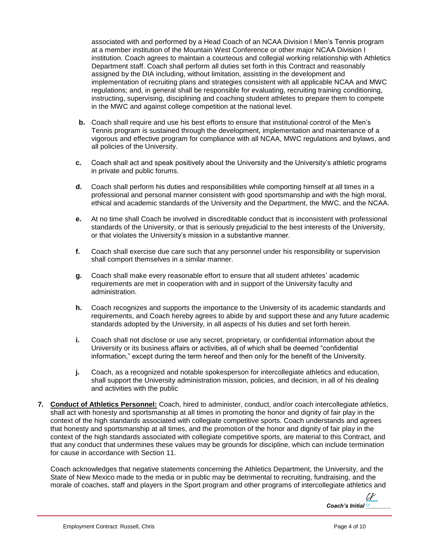associated with and performed by a Head Coach of an NCAA Division I Men's Tennis program at a member institution of the Mountain West Conference or other major NCAA Division I institution. Coach agrees to maintain a courteous and collegial working relationship with Athletics Department staff. Coach shall perform all duties set forth in this Contract and reasonably assigned by the DIA including, without limitation, assisting in the development and implementation of recruiting plans and strategies consistent with all applicable NCAA and MWC regulations; and, in general shall be responsible for evaluating, recruiting training conditioning, instructing, supervising, disciplining and coaching student athletes to prepare them to compete in the MWC and against college competition at the national level.

- **b.** Coach shall require and use his best efforts to ensure that institutional control of the Men's Tennis program is sustained through the development, implementation and maintenance of a vigorous and effective program for compliance with all NCAA, MWC regulations and bylaws, and all policies of the University.
- **c.** Coach shall act and speak positively about the University and the University's athletic programs in private and public forums.
- **d.** Coach shall perform his duties and responsibilities while comporting himself at all times in a professional and personal manner consistent with good sportsmanship and with the high moral, ethical and academic standards of the University and the Department, the MWC, and the NCAA.
- **e.** At no time shall Coach be involved in discreditable conduct that is inconsistent with professional standards of the University, or that is seriously prejudicial to the best interests of the University, or that violates the University's mission in a substantive manner.
- **f.** Coach shall exercise due care such that any personnel under his responsibility or supervision shall comport themselves in a similar manner.
- **g.** Coach shall make every reasonable effort to ensure that all student athletes' academic requirements are met in cooperation with and in support of the University faculty and administration.
- **h.** Coach recognizes and supports the importance to the University of its academic standards and requirements, and Coach hereby agrees to abide by and support these and any future academic standards adopted by the University, in all aspects of his duties and set forth herein.
- **i.** Coach shall not disclose or use any secret, proprietary, or confidential information about the University or its business affairs or activities, all of which shall be deemed "confidential information," except during the term hereof and then only for the benefit of the University.
- **j.** Coach, as a recognized and notable spokesperson for intercollegiate athletics and education, shall support the University administration mission, policies, and decision, in all of his dealing and activities with the public
- **7. Conduct of Athletics Personnel:** Coach, hired to administer, conduct, and/or coach intercollegiate athletics, shall act with honesty and sportsmanship at all times in promoting the honor and dignity of fair play in the context of the high standards associated with collegiate competitive sports. Coach understands and agrees that honesty and sportsmanship at all times, and the promotion of the honor and dignity of fair play in the context of the high standards associated with collegiate competitive sports, are material to this Contract, and that any conduct that undermines these values may be grounds for discipline, which can include termination for cause in accordance with Section 11.

Coach acknowledges that negative statements concerning the Athletics Department, the University, and the State of New Mexico made to the media or in public may be detrimental to recruiting, fundraising, and the morale of coaches, staff and players in the Sport program and other programs of intercollegiate athletics and

Coach's Initial *cr*  $\iota r$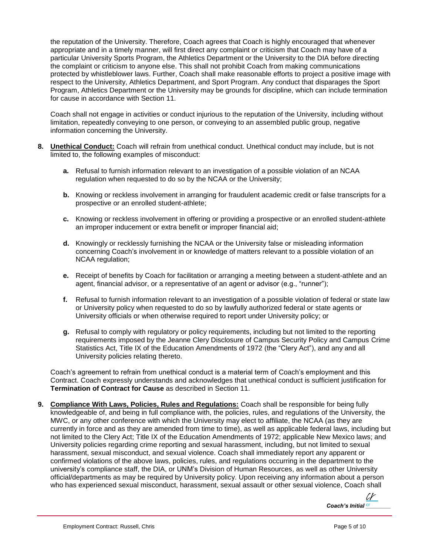the reputation of the University. Therefore, Coach agrees that Coach is highly encouraged that whenever appropriate and in a timely manner, will first direct any complaint or criticism that Coach may have of a particular University Sports Program, the Athletics Department or the University to the DIA before directing the complaint or criticism to anyone else. This shall not prohibit Coach from making communications protected by whistleblower laws. Further, Coach shall make reasonable efforts to project a positive image with respect to the University, Athletics Department, and Sport Program. Any conduct that disparages the Sport Program, Athletics Department or the University may be grounds for discipline, which can include termination for cause in accordance with Section 11.

Coach shall not engage in activities or conduct injurious to the reputation of the University, including without limitation, repeatedly conveying to one person, or conveying to an assembled public group, negative information concerning the University.

- **8. Unethical Conduct:** Coach will refrain from unethical conduct. Unethical conduct may include, but is not limited to, the following examples of misconduct:
	- **a.** Refusal to furnish information relevant to an investigation of a possible violation of an NCAA regulation when requested to do so by the NCAA or the University;
	- **b.** Knowing or reckless involvement in arranging for fraudulent academic credit or false transcripts for a prospective or an enrolled student-athlete;
	- **c.** Knowing or reckless involvement in offering or providing a prospective or an enrolled student-athlete an improper inducement or extra benefit or improper financial aid;
	- **d.** Knowingly or recklessly furnishing the NCAA or the University false or misleading information concerning Coach's involvement in or knowledge of matters relevant to a possible violation of an NCAA regulation;
	- **e.** Receipt of benefits by Coach for facilitation or arranging a meeting between a student-athlete and an agent, financial advisor, or a representative of an agent or advisor (e.g., "runner");
	- **f.** Refusal to furnish information relevant to an investigation of a possible violation of federal or state law or University policy when requested to do so by lawfully authorized federal or state agents or University officials or when otherwise required to report under University policy; or
	- **g.** Refusal to comply with regulatory or policy requirements, including but not limited to the reporting requirements imposed by the Jeanne Clery Disclosure of Campus Security Policy and Campus Crime Statistics Act, Title IX of the Education Amendments of 1972 (the "Clery Act"), and any and all University policies relating thereto.

Coach's agreement to refrain from unethical conduct is a material term of Coach's employment and this Contract. Coach expressly understands and acknowledges that unethical conduct is sufficient justification for **Termination of Contract for Cause** as described in Section 11.

**9. Compliance With Laws, Policies, Rules and Regulations:** Coach shall be responsible for being fully knowledgeable of, and being in full compliance with, the policies, rules, and regulations of the University, the MWC, or any other conference with which the University may elect to affiliate, the NCAA (as they are currently in force and as they are amended from time to time), as well as applicable federal laws, including but not limited to the Clery Act; Title IX of the Education Amendments of 1972; applicable New Mexico laws; and University policies regarding crime reporting and sexual harassment, including, but not limited to sexual harassment, sexual misconduct, and sexual violence. Coach shall immediately report any apparent or confirmed violations of the above laws, policies, rules, and regulations occurring in the department to the university's compliance staff, the DIA, or UNM's Division of Human Resources, as well as other University official/departments as may be required by University policy. Upon receiving any information about a person who has experienced sexual misconduct, harassment, sexual assault or other sexual violence, Coach shall

Coach's Initial *cr* cr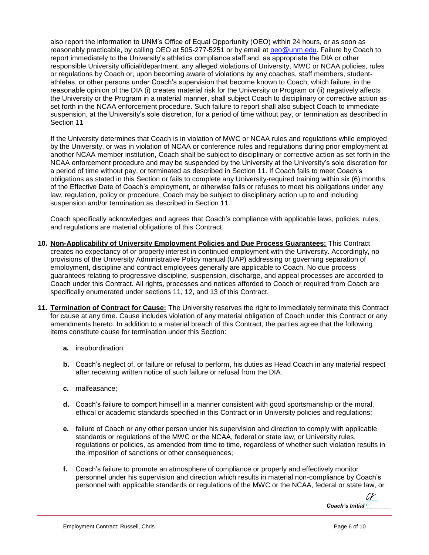also report the information to UNM's Office of Equal Opportunity (OEO) within 24 hours, or as soon as reasonably practicable, by calling OEO at 505-277-5251 or by email at [oeo@unm.edu.](mailto:oeo@unm.edu) Failure by Coach to report immediately to the University's athletics compliance staff and, as appropriate the DIA or other responsible University official/department, any alleged violations of University, MWC or NCAA policies, rules or regulations by Coach or, upon becoming aware of violations by any coaches, staff members, studentathletes, or other persons under Coach's supervision that become known to Coach, which failure, in the reasonable opinion of the DIA (i) creates material risk for the University or Program or (ii) negatively affects the University or the Program in a material manner, shall subject Coach to disciplinary or corrective action as set forth in the NCAA enforcement procedure. Such failure to report shall also subject Coach to immediate suspension, at the University's sole discretion, for a period of time without pay, or termination as described in Section 11

If the University determines that Coach is in violation of MWC or NCAA rules and regulations while employed by the University, or was in violation of NCAA or conference rules and regulations during prior employment at another NCAA member institution, Coach shall be subject to disciplinary or corrective action as set forth in the NCAA enforcement procedure and may be suspended by the University at the University's sole discretion for a period of time without pay, or terminated as described in Section 11. If Coach fails to meet Coach's obligations as stated in this Section or fails to complete any University-required training within six (6) months of the Effective Date of Coach's employment, or otherwise fails or refuses to meet his obligations under any law, regulation, policy or procedure, Coach may be subject to disciplinary action up to and including suspension and/or termination as described in Section 11.

Coach specifically acknowledges and agrees that Coach's compliance with applicable laws, policies, rules, and regulations are material obligations of this Contract.

- **10. Non-Applicability of University Employment Policies and Due Process Guarantees:** This Contract creates no expectancy of or property interest in continued employment with the University. Accordingly, no provisions of the University Administrative Policy manual (UAP) addressing or governing separation of employment, discipline and contract employees generally are applicable to Coach. No due process guarantees relating to progressive discipline, suspension, discharge, and appeal processes are accorded to Coach under this Contract. All rights, processes and notices afforded to Coach or required from Coach are specifically enumerated under sections 11, 12, and 13 of this Contract.
- **11. Termination of Contract for Cause:** The University reserves the right to immediately terminate this Contract for cause at any time. Cause includes violation of any material obligation of Coach under this Contract or any amendments hereto. In addition to a material breach of this Contract, the parties agree that the following items constitute cause for termination under this Section:
	- **a.** insubordination;
	- **b.** Coach's neglect of, or failure or refusal to perform, his duties as Head Coach in any material respect after receiving written notice of such failure or refusal from the DIA.
	- **c.** malfeasance;
	- **d.** Coach's failure to comport himself in a manner consistent with good sportsmanship or the moral, ethical or academic standards specified in this Contract or in University policies and regulations;
	- **e.** failure of Coach or any other person under his supervision and direction to comply with applicable standards or regulations of the MWC or the NCAA, federal or state law, or University rules, regulations or policies, as amended from time to time, regardless of whether such violation results in the imposition of sanctions or other consequences;
	- **f.** Coach's failure to promote an atmosphere of compliance or properly and effectively monitor personnel under his supervision and direction which results in material non-compliance by Coach's personnel with applicable standards or regulations of the MWC or the NCAA, federal or state law, or

Coach's Initial *cr* cr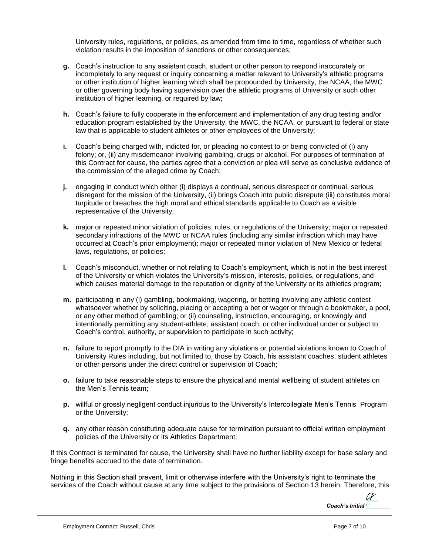University rules, regulations, or policies, as amended from time to time, regardless of whether such violation results in the imposition of sanctions or other consequences;

- **g.** Coach's instruction to any assistant coach, student or other person to respond inaccurately or incompletely to any request or inquiry concerning a matter relevant to University's athletic programs or other institution of higher learning which shall be propounded by University, the NCAA, the MWC or other governing body having supervision over the athletic programs of University or such other institution of higher learning, or required by law;
- **h.** Coach's failure to fully cooperate in the enforcement and implementation of any drug testing and/or education program established by the University, the MWC, the NCAA, or pursuant to federal or state law that is applicable to student athletes or other employees of the University;
- **i.** Coach's being charged with, indicted for, or pleading no contest to or being convicted of (i) any felony; or, (ii) any misdemeanor involving gambling, drugs or alcohol. For purposes of termination of this Contract for cause, the parties agree that a conviction or plea will serve as conclusive evidence of the commission of the alleged crime by Coach;
- **j.** engaging in conduct which either (i) displays a continual, serious disrespect or continual, serious disregard for the mission of the University, (ii) brings Coach into public disrepute (iii) constitutes moral turpitude or breaches the high moral and ethical standards applicable to Coach as a visible representative of the University;
- **k.** major or repeated minor violation of policies, rules, or regulations of the University; major or repeated secondary infractions of the MWC or NCAA rules (including any similar infraction which may have occurred at Coach's prior employment); major or repeated minor violation of New Mexico or federal laws, regulations, or policies;
- **l.** Coach's misconduct, whether or not relating to Coach's employment, which is not in the best interest of the University or which violates the University's mission, interests, policies, or regulations, and which causes material damage to the reputation or dignity of the University or its athletics program;
- **m.** participating in any (i) gambling, bookmaking, wagering, or betting involving any athletic contest whatsoever whether by soliciting, placing or accepting a bet or wager or through a bookmaker, a pool, or any other method of gambling; or (ii) counseling, instruction, encouraging, or knowingly and intentionally permitting any student-athlete, assistant coach, or other individual under or subject to Coach's control, authority, or supervision to participate in such activity;
- **n.** failure to report promptly to the DIA in writing any violations or potential violations known to Coach of University Rules including, but not limited to, those by Coach, his assistant coaches, student athletes or other persons under the direct control or supervision of Coach;
- **o.** failure to take reasonable steps to ensure the physical and mental wellbeing of student athletes on the Men's Tennis team;
- **p.** willful or grossly negligent conduct injurious to the University's Intercollegiate Men's Tennis Program or the University;
- **q.** any other reason constituting adequate cause for termination pursuant to official written employment policies of the University or its Athletics Department;

If this Contract is terminated for cause, the University shall have no further liability except for base salary and fringe benefits accrued to the date of termination.

Nothing in this Section shall prevent, limit or otherwise interfere with the University's right to terminate the services of the Coach without cause at any time subject to the provisions of Section 13 herein. Therefore, this

Coach's Initial *cr* cr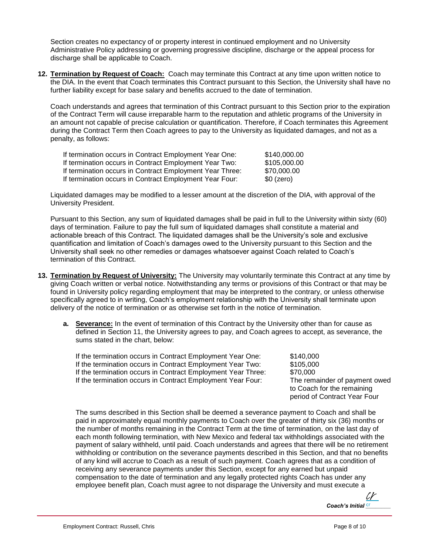Section creates no expectancy of or property interest in continued employment and no University Administrative Policy addressing or governing progressive discipline, discharge or the appeal process for discharge shall be applicable to Coach.

**12. Termination by Request of Coach:** Coach may terminate this Contract at any time upon written notice to the DIA. In the event that Coach terminates this Contract pursuant to this Section, the University shall have no further liability except for base salary and benefits accrued to the date of termination.

Coach understands and agrees that termination of this Contract pursuant to this Section prior to the expiration of the Contract Term will cause irreparable harm to the reputation and athletic programs of the University in an amount not capable of precise calculation or quantification. Therefore, if Coach terminates this Agreement during the Contract Term then Coach agrees to pay to the University as liquidated damages, and not as a penalty, as follows:

| If termination occurs in Contract Employment Year One:   | \$140,000.00 |
|----------------------------------------------------------|--------------|
| If termination occurs in Contract Employment Year Two:   | \$105,000.00 |
| If termination occurs in Contract Employment Year Three: | \$70,000.00  |
| If termination occurs in Contract Employment Year Four:  | $$0$ (zero)  |

Liquidated damages may be modified to a lesser amount at the discretion of the DIA, with approval of the University President.

Pursuant to this Section, any sum of liquidated damages shall be paid in full to the University within sixty (60) days of termination. Failure to pay the full sum of liquidated damages shall constitute a material and actionable breach of this Contract. The liquidated damages shall be the University's sole and exclusive quantification and limitation of Coach's damages owed to the University pursuant to this Section and the University shall seek no other remedies or damages whatsoever against Coach related to Coach's termination of this Contract.

- **13. Termination by Request of University:** The University may voluntarily terminate this Contract at any time by giving Coach written or verbal notice. Notwithstanding any terms or provisions of this Contract or that may be found in University policy regarding employment that may be interpreted to the contrary, or unless otherwise specifically agreed to in writing, Coach's employment relationship with the University shall terminate upon delivery of the notice of termination or as otherwise set forth in the notice of termination.
	- **a. Severance:** In the event of termination of this Contract by the University other than for cause as defined in Section 11, the University agrees to pay, and Coach agrees to accept, as severance, the sums stated in the chart, below:

If the termination occurs in Contract Employment Year One: \$140,000 If the termination occurs in Contract Employment Year Two: \$105,000 If the termination occurs in Contract Employment Year Three: \$70,000 If the termination occurs in Contract Employment Year Four: The remainder of payment owed

to Coach for the remaining period of Contract Year Four

The sums described in this Section shall be deemed a severance payment to Coach and shall be paid in approximately equal monthly payments to Coach over the greater of thirty six (36) months or the number of months remaining in the Contract Term at the time of termination, on the last day of each month following termination, with New Mexico and federal tax withholdings associated with the payment of salary withheld, until paid. Coach understands and agrees that there will be no retirement withholding or contribution on the severance payments described in this Section, and that no benefits of any kind will accrue to Coach as a result of such payment. Coach agrees that as a condition of receiving any severance payments under this Section, except for any earned but unpaid compensation to the date of termination and any legally protected rights Coach has under any employee benefit plan, Coach must agree to not disparage the University and must execute a

> Coach's Initial<sup>cr</sup> cr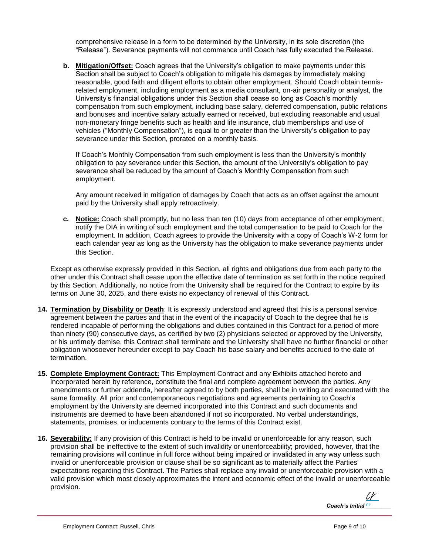comprehensive release in a form to be determined by the University, in its sole discretion (the "Release"). Severance payments will not commence until Coach has fully executed the Release.

**b. Mitigation/Offset:** Coach agrees that the University's obligation to make payments under this Section shall be subject to Coach's obligation to mitigate his damages by immediately making reasonable, good faith and diligent efforts to obtain other employment. Should Coach obtain tennisrelated employment, including employment as a media consultant, on-air personality or analyst, the University's financial obligations under this Section shall cease so long as Coach's monthly compensation from such employment, including base salary, deferred compensation, public relations and bonuses and incentive salary actually earned or received, but excluding reasonable and usual non-monetary fringe benefits such as health and life insurance, club memberships and use of vehicles ("Monthly Compensation"), is equal to or greater than the University's obligation to pay severance under this Section, prorated on a monthly basis.

If Coach's Monthly Compensation from such employment is less than the University's monthly obligation to pay severance under this Section, the amount of the University's obligation to pay severance shall be reduced by the amount of Coach's Monthly Compensation from such employment.

Any amount received in mitigation of damages by Coach that acts as an offset against the amount paid by the University shall apply retroactively.

**c. Notice:** Coach shall promptly, but no less than ten (10) days from acceptance of other employment, notify the DIA in writing of such employment and the total compensation to be paid to Coach for the employment. In addition, Coach agrees to provide the University with a copy of Coach's W-2 form for each calendar year as long as the University has the obligation to make severance payments under this Section.

Except as otherwise expressly provided in this Section, all rights and obligations due from each party to the other under this Contract shall cease upon the effective date of termination as set forth in the notice required by this Section. Additionally, no notice from the University shall be required for the Contract to expire by its terms on June 30, 2025, and there exists no expectancy of renewal of this Contract.

- **14. Termination by Disability or Death**: It is expressly understood and agreed that this is a personal service agreement between the parties and that in the event of the incapacity of Coach to the degree that he is rendered incapable of performing the obligations and duties contained in this Contract for a period of more than ninety (90) consecutive days, as certified by two (2) physicians selected or approved by the University, or his untimely demise, this Contract shall terminate and the University shall have no further financial or other obligation whosoever hereunder except to pay Coach his base salary and benefits accrued to the date of termination.
- **15. Complete Employment Contract:** This Employment Contract and any Exhibits attached hereto and incorporated herein by reference, constitute the final and complete agreement between the parties. Any amendments or further addenda, hereafter agreed to by both parties, shall be in writing and executed with the same formality. All prior and contemporaneous negotiations and agreements pertaining to Coach's employment by the University are deemed incorporated into this Contract and such documents and instruments are deemed to have been abandoned if not so incorporated. No verbal understandings, statements, promises, or inducements contrary to the terms of this Contract exist.
- **16. Severability:** If any provision of this Contract is held to be invalid or unenforceable for any reason, such provision shall be ineffective to the extent of such invalidity or unenforceability; provided, however, that the remaining provisions will continue in full force without being impaired or invalidated in any way unless such invalid or unenforceable provision or clause shall be so significant as to materially affect the Parties' expectations regarding this Contract. The Parties shall replace any invalid or unenforceable provision with a valid provision which most closely approximates the intent and economic effect of the invalid or unenforceable provision.

Coach's Initial<sup>cr</sup> cr